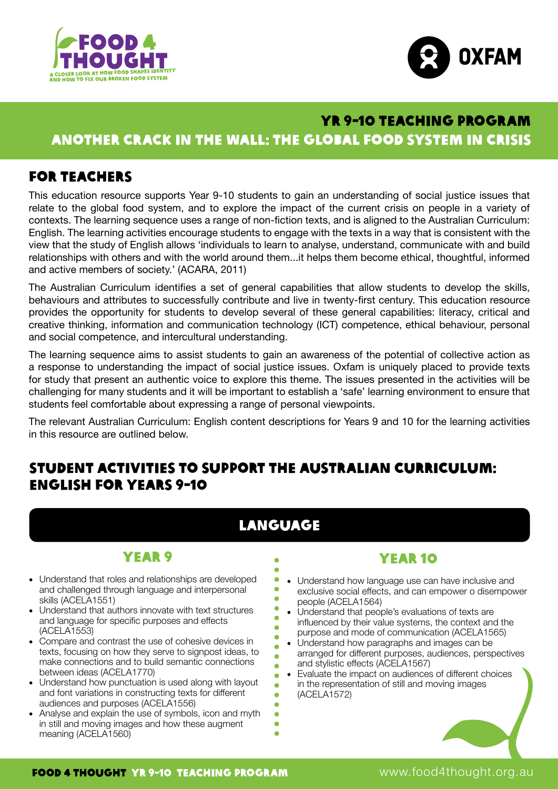



# ANOTHER CRACK IN THE WALL: THE GLOBAL FOOD SYSTEM IN CRISIS YR 9-10 TEACHING PROGRAM

## For teachers

This education resource supports Year 9-10 students to gain an understanding of social justice issues that relate to the global food system, and to explore the impact of the current crisis on people in a variety of contexts. The learning sequence uses a range of non-fiction texts, and is aligned to the Australian Curriculum: English. The learning activities encourage students to engage with the texts in a way that is consistent with the view that the study of English allows 'individuals to learn to analyse, understand, communicate with and build relationships with others and with the world around them...it helps them become ethical, thoughtful, informed and active members of society.' (ACARA, 2011)

The Australian Curriculum identifies a set of general capabilities that allow students to develop the skills, behaviours and attributes to successfully contribute and live in twenty-first century. This education resource provides the opportunity for students to develop several of these general capabilities: literacy, critical and creative thinking, information and communication technology (ICT) competence, ethical behaviour, personal and social competence, and intercultural understanding.

The learning sequence aims to assist students to gain an awareness of the potential of collective action as a response to understanding the impact of social justice issues. Oxfam is uniquely placed to provide texts for study that present an authentic voice to explore this theme. The issues presented in the activities will be challenging for many students and it will be important to establish a 'safe' learning environment to ensure that students feel comfortable about expressing a range of personal viewpoints.

The relevant Australian Curriculum: English content descriptions for Years 9 and 10 for the learning activities in this resource are outlined below.

# Student activities to support the Australian Curriculum: English for Years 9-10

# Language

 $\bullet$ Ä ò  $\bullet$  $\bullet$  $\bullet$  $\bullet$  $\bullet$  $\bullet$ ä  $\bullet$  $\bullet$  $\bullet$ ä  $\blacksquare$ ò ä  $\bullet$  $\bullet$ 

# Year 9

- Understand that roles and relationships are developed and challenged through language and interpersonal skills (ACELA1551)
- Understand that authors innovate with text structures and language for specific purposes and effects (ACELA1553)
- Compare and contrast the use of cohesive devices in texts, focusing on how they serve to signpost ideas, to make connections and to build semantic connections between ideas (ACELA1770)
- Understand how punctuation is used along with layout and font variations in constructing texts for different audiences and purposes (ACELA1556)
- Analyse and explain the use of symbols, icon and myth in still and moving images and how these augment meaning (ACELA1560)

## Year 10

- Understand how language use can have inclusive and exclusive social effects, and can empower o disempower people (ACELA1564)
- Understand that people's evaluations of texts are influenced by their value systems, the context and the purpose and mode of communication (ACELA1565)
- Understand how paragraphs and images can be arranged for different purposes, audiences, perspectives and stylistic effects (ACELA1567)
- Evaluate the impact on audiences of different choices in the representation of still and moving images (ACELA1572)



www.food4thought.org.au